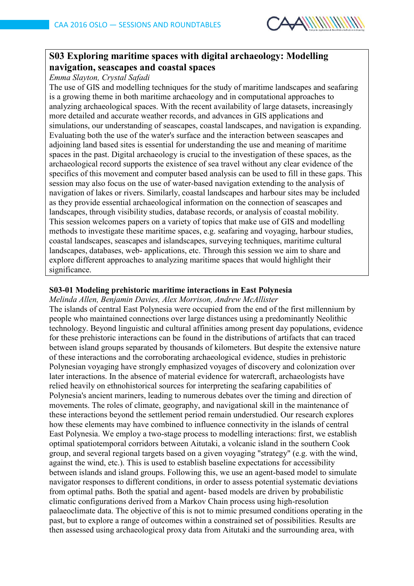

# **S03 Exploring maritime spaces with digital archaeology: Modelling navigation, seascapes and coastal spaces**

*Emma Slayton, Crystal Safadi*

The use of GIS and modelling techniques for the study of maritime landscapes and seafaring is a growing theme in both maritime archaeology and in computational approaches to analyzing archaeological spaces. With the recent availability of large datasets, increasingly more detailed and accurate weather records, and advances in GIS applications and simulations, our understanding of seascapes, coastal landscapes, and navigation is expanding. Evaluating both the use of the water's surface and the interaction between seascapes and adjoining land based sites is essential for understanding the use and meaning of maritime spaces in the past. Digital archaeology is crucial to the investigation of these spaces, as the archaeological record supports the existence of sea travel without any clear evidence of the specifics of this movement and computer based analysis can be used to fill in these gaps. This session may also focus on the use of water-based navigation extending to the analysis of navigation of lakes or rivers. Similarly, coastal landscapes and harbour sites may be included as they provide essential archaeological information on the connection of seascapes and landscapes, through visibility studies, database records, or analysis of coastal mobility. This session welcomes papers on a variety of topics that make use of GIS and modelling methods to investigate these maritime spaces, e.g. seafaring and voyaging, harbour studies, coastal landscapes, seascapes and islandscapes, surveying techniques, maritime cultural landscapes, databases, web- applications, etc. Through this session we aim to share and explore different approaches to analyzing maritime spaces that would highlight their significance.

#### **S03-01 Modeling prehistoric maritime interactions in East Polynesia**

#### *Melinda Allen, Benjamin Davies, Alex Morrison, Andrew McAllister*

The islands of central East Polynesia were occupied from the end of the first millennium by people who maintained connections over large distances using a predominantly Neolithic technology. Beyond linguistic and cultural affinities among present day populations, evidence for these prehistoric interactions can be found in the distributions of artifacts that can traced between island groups separated by thousands of kilometers. But despite the extensive nature of these interactions and the corroborating archaeological evidence, studies in prehistoric Polynesian voyaging have strongly emphasized voyages of discovery and colonization over later interactions. In the absence of material evidence for watercraft, archaeologists have relied heavily on ethnohistorical sources for interpreting the seafaring capabilities of Polynesia's ancient mariners, leading to numerous debates over the timing and direction of movements. The roles of climate, geography, and navigational skill in the maintenance of these interactions beyond the settlement period remain understudied. Our research explores how these elements may have combined to influence connectivity in the islands of central East Polynesia. We employ a two-stage process to modelling interactions: first, we establish optimal spatiotemporal corridors between Aitutaki, a volcanic island in the southern Cook group, and several regional targets based on a given voyaging "strategy" (e.g. with the wind, against the wind, etc.). This is used to establish baseline expectations for accessibility between islands and island groups. Following this, we use an agent-based model to simulate navigator responses to different conditions, in order to assess potential systematic deviations from optimal paths. Both the spatial and agent- based models are driven by probabilistic climatic configurations derived from a Markov Chain process using high-resolution palaeoclimate data. The objective of this is not to mimic presumed conditions operating in the past, but to explore a range of outcomes within a constrained set of possibilities. Results are then assessed using archaeological proxy data from Aitutaki and the surrounding area, with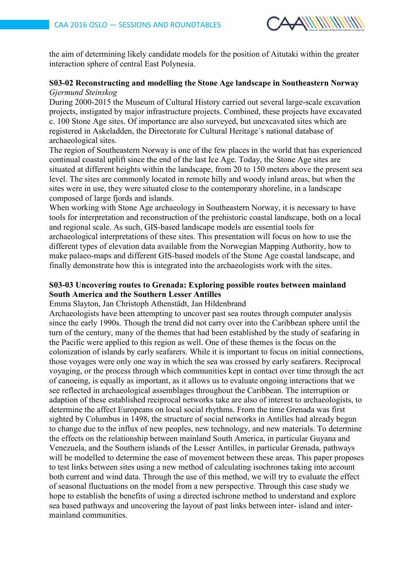

the aim of determining likely candidate models for the position of Aitutaki within the greater interaction sphere of central East Polynesia.

### **S03-02 Reconstructing and modelling the Stone Age landscape in Southeastern Norway** *Gjermund Steinskog*

During 2000-2015 the Museum of Cultural History carried out several large-scale excavation projects, instigated by major infrastructure projects. Combined, these projects have excavated c. 100 Stone Age sites. Of importance are also surveyed, but unexcavated sites which are registered in Askeladden, the Directorate for Cultural Heritage´s national database of archaeological sites.

The region of Southeastern Norway is one of the few places in the world that has experienced continual coastal uplift since the end of the last Ice Age. Today, the Stone Age sites are situated at different heights within the landscape, from 20 to 150 meters above the present sea level. The sites are commonly located in remote hilly and woody inland areas, but when the sites were in use, they were situated close to the contemporary shoreline, in a landscape composed of large fjords and islands.

When working with Stone Age archaeology in Southeastern Norway, it is necessary to have tools for interpretation and reconstruction of the prehistoric coastal landscape, both on a local and regional scale. As such, GIS-based landscape models are essential tools for archaeological interpretations of these sites. This presentation will focus on how to use the different types of elevation data available from the Norwegian Mapping Authority, how to make palaeo-maps and different GIS-based models of the Stone Age coastal landscape, and finally demonstrate how this is integrated into the archaeologists work with the sites.

#### **S03-03 Uncovering routes to Grenada: Exploring possible routes between mainland South America and the Southern Lesser Antilles**

Emma Slayton, Jan Christoph Athenstädt, Jan Hildenbrand

Archaeologists have been attempting to uncover past sea routes through computer analysis since the early 1990s. Though the trend did not carry over into the Caribbean sphere until the turn of the century, many of the themes that had been established by the study of seafaring in the Pacific were applied to this region as well. One of these themes is the focus on the colonization of islands by early seafarers. While it is important to focus on initial connections, those voyages were only one way in which the sea was crossed by early seafarers. Reciprocal voyaging, or the process through which communities kept in contact over time through the act of canoeing, is equally as important, as it allows us to evaluate ongoing interactions that we see reflected in archaeological assemblages throughout the Caribbean. The interruption or adaption of these established reciprocal networks take are also of interest to archaeologists, to determine the affect Europeans on local social rhythms. From the time Grenada was first sighted by Columbus in 1498, the structure of social networks in Antilles had already begun to change due to the influx of new peoples, new technology, and new materials. To determine the effects on the relationship between mainland South America, in particular Guyana and Venezuela, and the Southern islands of the Lesser Antilles, in particular Grenada, pathways will be modelled to determine the ease of movement between these areas. This paper proposes to test links between sites using a new method of calculating isochrones taking into account both current and wind data. Through the use of this method, we will try to evaluate the effect of seasonal fluctuations on the model from a new perspective. Through this case study we hope to establish the benefits of using a directed ischrone method to understand and explore sea based pathways and uncovering the layout of past links between inter- island and intermainland communities.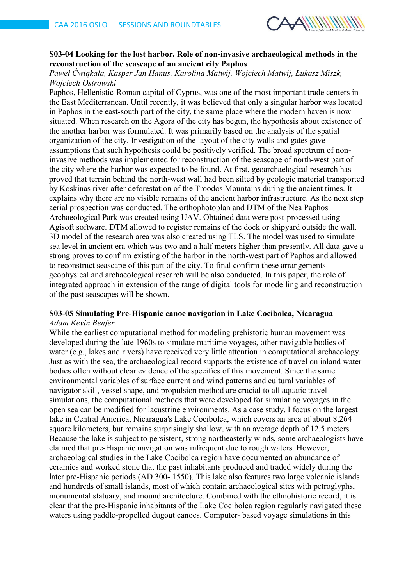

# **S03-04 Looking for the lost harbor. Role of non-invasive archaeological methods in the reconstruction of the seascape of an ancient city Paphos**

*Paweł Ćwiąkała, Kasper Jan Hanus, Karolina Matwij, Wojciech Matwij, Łukasz Miszk, Wojciech Ostrowski*

Paphos, Hellenistic-Roman capital of Cyprus, was one of the most important trade centers in the East Mediterranean. Until recently, it was believed that only a singular harbor was located in Paphos in the east-south part of the city, the same place where the modern haven is now situated. When research on the Agora of the city has begun, the hypothesis about existence of the another harbor was formulated. It was primarily based on the analysis of the spatial organization of the city. Investigation of the layout of the city walls and gates gave assumptions that such hypothesis could be positively verified. The broad spectrum of noninvasive methods was implemented for reconstruction of the seascape of north-west part of the city where the harbor was expected to be found. At first, geoarchaelogical research has proved that terrain behind the north-west wall had been silted by geologic material transported by Koskinas river after deforestation of the Troodos Mountains during the ancient times. It explains why there are no visible remains of the ancient harbor infrastructure. As the next step aerial prospection was conducted. The orthophotoplan and DTM of the Nea Paphos Archaeological Park was created using UAV. Obtained data were post-processed using Agisoft software. DTM allowed to register remains of the dock or shipyard outside the wall. 3D model of the research area was also created using TLS. The model was used to simulate sea level in ancient era which was two and a half meters higher than presently. All data gave a strong proves to confirm existing of the harbor in the north-west part of Paphos and allowed to reconstruct seascape of this part of the city. To final confirm these arrangements geophysical and archaeological research will be also conducted. In this paper, the role of integrated approach in extension of the range of digital tools for modelling and reconstruction of the past seascapes will be shown.

#### **S03-05 Simulating Pre-Hispanic canoe navigation in Lake Cocibolca, Nicaragua** *Adam Kevin Benfer*

While the earliest computational method for modeling prehistoric human movement was developed during the late 1960s to simulate maritime voyages, other navigable bodies of water (e.g., lakes and rivers) have received very little attention in computational archaeology. Just as with the sea, the archaeological record supports the existence of travel on inland water bodies often without clear evidence of the specifics of this movement. Since the same environmental variables of surface current and wind patterns and cultural variables of navigator skill, vessel shape, and propulsion method are crucial to all aquatic travel simulations, the computational methods that were developed for simulating voyages in the open sea can be modified for lacustrine environments. As a case study, I focus on the largest lake in Central America, Nicaragua's Lake Cocibolca, which covers an area of about 8,264 square kilometers, but remains surprisingly shallow, with an average depth of 12.5 meters. Because the lake is subject to persistent, strong northeasterly winds, some archaeologists have claimed that pre-Hispanic navigation was infrequent due to rough waters. However, archaeological studies in the Lake Cocibolca region have documented an abundance of ceramics and worked stone that the past inhabitants produced and traded widely during the later pre-Hispanic periods (AD 300- 1550). This lake also features two large volcanic islands and hundreds of small islands, most of which contain archaeological sites with petroglyphs, monumental statuary, and mound architecture. Combined with the ethnohistoric record, it is clear that the pre-Hispanic inhabitants of the Lake Cocibolca region regularly navigated these waters using paddle-propelled dugout canoes. Computer- based voyage simulations in this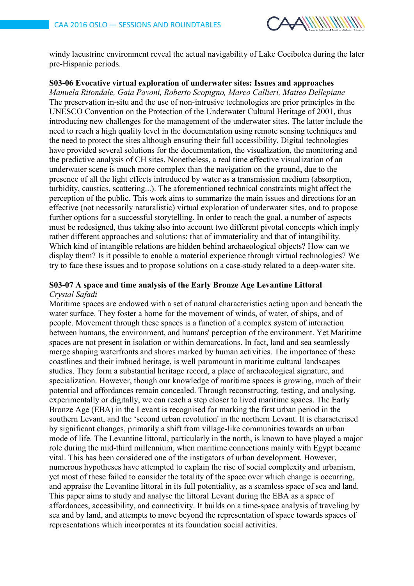

windy lacustrine environment reveal the actual navigability of Lake Cocibolca during the later pre-Hispanic periods.

#### **S03-06 Evocative virtual exploration of underwater sites: Issues and approaches**

*Manuela Ritondale, Gaia Pavoni, Roberto Scopigno, Marco Callieri, Matteo Dellepiane* The preservation in-situ and the use of non-intrusive technologies are prior principles in the UNESCO Convention on the Protection of the Underwater Cultural Heritage of 2001, thus introducing new challenges for the management of the underwater sites. The latter include the need to reach a high quality level in the documentation using remote sensing techniques and the need to protect the sites although ensuring their full accessibility. Digital technologies have provided several solutions for the documentation, the visualization, the monitoring and the predictive analysis of CH sites. Nonetheless, a real time effective visualization of an underwater scene is much more complex than the navigation on the ground, due to the presence of all the light effects introduced by water as a transmission medium (absorption, turbidity, caustics, scattering...). The aforementioned technical constraints might affect the perception of the public. This work aims to summarize the main issues and directions for an effective (not necessarily naturalistic) virtual exploration of underwater sites, and to propose further options for a successful storytelling. In order to reach the goal, a number of aspects must be redesigned, thus taking also into account two different pivotal concepts which imply rather different approaches and solutions: that of immateriality and that of intangibility. Which kind of intangible relations are hidden behind archaeological objects? How can we display them? Is it possible to enable a material experience through virtual technologies? We try to face these issues and to propose solutions on a case-study related to a deep-water site.

#### **S03-07 A space and time analysis of the Early Bronze Age Levantine Littoral** *Crystal Safadi*

Maritime spaces are endowed with a set of natural characteristics acting upon and beneath the water surface. They foster a home for the movement of winds, of water, of ships, and of people. Movement through these spaces is a function of a complex system of interaction between humans, the environment, and humans' perception of the environment. Yet Maritime spaces are not present in isolation or within demarcations. In fact, land and sea seamlessly merge shaping waterfronts and shores marked by human activities. The importance of these coastlines and their imbued heritage, is well paramount in maritime cultural landscapes studies. They form a substantial heritage record, a place of archaeological signature, and specialization. However, though our knowledge of maritime spaces is growing, much of their potential and affordances remain concealed. Through reconstructing, testing, and analysing, experimentally or digitally, we can reach a step closer to lived maritime spaces. The Early Bronze Age (EBA) in the Levant is recognised for marking the first urban period in the southern Levant, and the 'second urban revolution' in the northern Levant. It is characterised by significant changes, primarily a shift from village-like communities towards an urban mode of life. The Levantine littoral, particularly in the north, is known to have played a major role during the mid-third millennium, when maritime connections mainly with Egypt became vital. This has been considered one of the instigators of urban development. However, numerous hypotheses have attempted to explain the rise of social complexity and urbanism, yet most of these failed to consider the totality of the space over which change is occurring, and appraise the Levantine littoral in its full potentiality, as a seamless space of sea and land. This paper aims to study and analyse the littoral Levant during the EBA as a space of affordances, accessibility, and connectivity. It builds on a time-space analysis of traveling by sea and by land, and attempts to move beyond the representation of space towards spaces of representations which incorporates at its foundation social activities.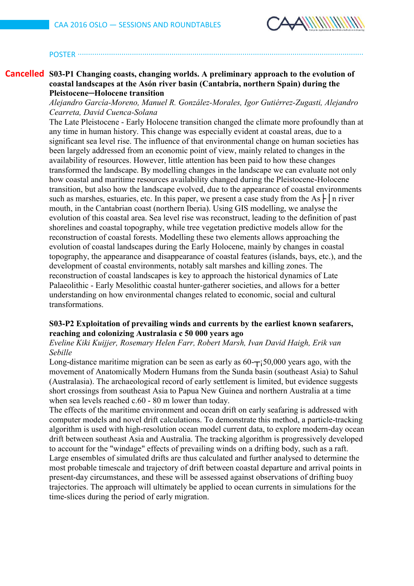

#### POSTER ∙∙∙∙∙∙∙∙∙∙∙∙∙∙∙∙∙∙∙∙∙∙∙∙∙∙∙∙∙∙∙∙∙∙∙∙∙∙∙∙∙∙∙∙∙∙∙∙∙∙∙∙∙∙∙∙∙∙∙∙∙∙∙∙∙∙∙∙∙∙∙∙∙∙∙∙∙∙∙∙∙∙∙∙∙∙∙∙∙∙∙∙∙∙∙∙∙∙∙∙∙∙∙∙∙∙∙∙∙∙∙∙∙∙∙∙∙∙∙∙∙∙∙∙∙∙∙∙∙∙∙∙∙∙∙∙∙

## **S03-P1 Changing coasts, changing worlds. A preliminary approach to the evolution of Cancelledcoastal landscapes at the Asón river basin (Cantabria, northern Spain) during the Pleistocene─Holocene transition**

*Alejandro García-Moreno, Manuel R. González-Morales, Igor Gutiérrez-Zugasti, Alejandro Cearreta, David Cuenca-Solana*

The Late Pleistocene - Early Holocene transition changed the climate more profoundly than at any time in human history. This change was especially evident at coastal areas, due to a significant sea level rise. The influence of that environmental change on human societies has been largely addressed from an economic point of view, mainly related to changes in the availability of resources. However, little attention has been paid to how these changes transformed the landscape. By modelling changes in the landscape we can evaluate not only how coastal and maritime resources availability changed during the Pleistocene-Holocene transition, but also how the landscape evolved, due to the appearance of coastal environments such as marshes, estuaries, etc. In this paper, we present a case study from the As  $\vdash$  | n river mouth, in the Cantabrian coast (northern Iberia). Using GIS modelling, we analyse the evolution of this coastal area. Sea level rise was reconstruct, leading to the definition of past shorelines and coastal topography, while tree vegetation predictive models allow for the reconstruction of coastal forests. Modelling these two elements allows approaching the evolution of coastal landscapes during the Early Holocene, mainly by changes in coastal topography, the appearance and disappearance of coastal features (islands, bays, etc.), and the development of coastal environments, notably salt marshes and killing zones. The reconstruction of coastal landscapes is key to approach the historical dynamics of Late Palaeolithic - Early Mesolithic coastal hunter-gatherer societies, and allows for a better understanding on how environmental changes related to economic, social and cultural transformations.

## **S03-P2 Exploitation of prevailing winds and currents by the earliest known seafarers, reaching and colonizing Australasia c 50 000 years ago**

*Eveline Kiki Kuijjer, Rosemary Helen Farr, Robert Marsh, Ivan David Haigh, Erik van Sebille*

Long-distance maritime migration can be seen as early as  $60 - \frac{1}{50}0.000$  years ago, with the movement of Anatomically Modern Humans from the Sunda basin (southeast Asia) to Sahul (Australasia). The archaeological record of early settlement is limited, but evidence suggests short crossings from southeast Asia to Papua New Guinea and northern Australia at a time when sea levels reached c.60 - 80 m lower than today.

The effects of the maritime environment and ocean drift on early seafaring is addressed with computer models and novel drift calculations. To demonstrate this method, a particle-tracking algorithm is used with high-resolution ocean model current data, to explore modern-day ocean drift between southeast Asia and Australia. The tracking algorithm is progressively developed to account for the "windage" effects of prevailing winds on a drifting body, such as a raft. Large ensembles of simulated drifts are thus calculated and further analysed to determine the most probable timescale and trajectory of drift between coastal departure and arrival points in present-day circumstances, and these will be assessed against observations of drifting buoy trajectories. The approach will ultimately be applied to ocean currents in simulations for the time-slices during the period of early migration.